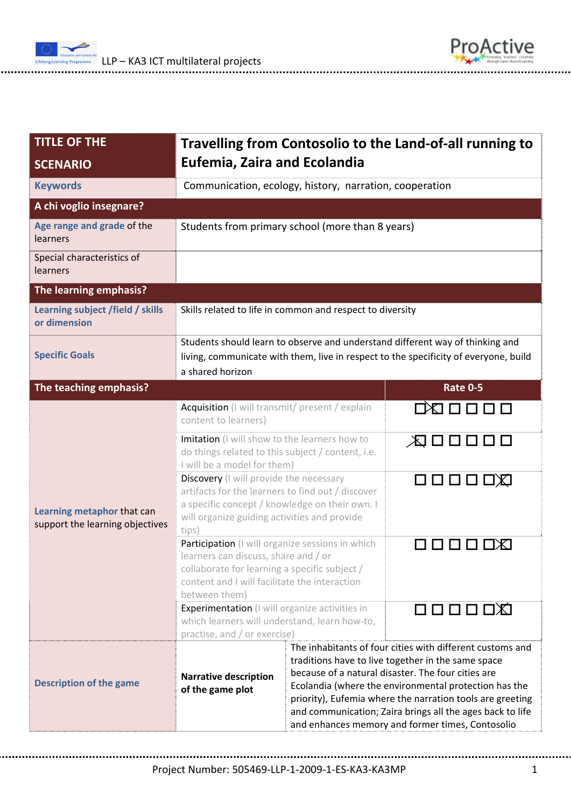



| <b>TITLE OF THE</b>                                           | Travelling from Contosolio to the Land-of-all running to                                                                                                                                                                                                                            |                                                                                                                                                                                                                                                                                                                                                                                                              |                 |  |  |
|---------------------------------------------------------------|-------------------------------------------------------------------------------------------------------------------------------------------------------------------------------------------------------------------------------------------------------------------------------------|--------------------------------------------------------------------------------------------------------------------------------------------------------------------------------------------------------------------------------------------------------------------------------------------------------------------------------------------------------------------------------------------------------------|-----------------|--|--|
| <b>SCENARIO</b>                                               | <b>Eufemia, Zaira and Ecolandia</b>                                                                                                                                                                                                                                                 |                                                                                                                                                                                                                                                                                                                                                                                                              |                 |  |  |
| <b>Keywords</b>                                               | Communication, ecology, history, narration, cooperation                                                                                                                                                                                                                             |                                                                                                                                                                                                                                                                                                                                                                                                              |                 |  |  |
| A chi voglio insegnare?                                       |                                                                                                                                                                                                                                                                                     |                                                                                                                                                                                                                                                                                                                                                                                                              |                 |  |  |
| Age range and grade of the<br>learners                        | Students from primary school (more than 8 years)                                                                                                                                                                                                                                    |                                                                                                                                                                                                                                                                                                                                                                                                              |                 |  |  |
| Special characteristics of<br><b>learners</b>                 |                                                                                                                                                                                                                                                                                     |                                                                                                                                                                                                                                                                                                                                                                                                              |                 |  |  |
| The learning emphasis?                                        |                                                                                                                                                                                                                                                                                     |                                                                                                                                                                                                                                                                                                                                                                                                              |                 |  |  |
| Learning subject /field / skills<br>or dimension              | Skills related to life in common and respect to diversity                                                                                                                                                                                                                           |                                                                                                                                                                                                                                                                                                                                                                                                              |                 |  |  |
| <b>Specific Goals</b>                                         | Students should learn to observe and understand different way of thinking and<br>living, communicate with them, live in respect to the specificity of everyone, build<br>a shared horizon                                                                                           |                                                                                                                                                                                                                                                                                                                                                                                                              |                 |  |  |
| The teaching emphasis?                                        |                                                                                                                                                                                                                                                                                     |                                                                                                                                                                                                                                                                                                                                                                                                              | <b>Rate 0-5</b> |  |  |
| Learning metaphor that can<br>support the learning objectives | Acquisition (I will transmit/ present / explain<br>content to learners)                                                                                                                                                                                                             |                                                                                                                                                                                                                                                                                                                                                                                                              |                 |  |  |
|                                                               | Imitation (I will show to the learners how to<br>do things related to this subject / content, i.e.<br>I will be a model for them)<br>Discovery (I will provide the necessary<br>artifacts for the learners to find out / discover<br>a specific concept / knowledge on their own. I |                                                                                                                                                                                                                                                                                                                                                                                                              | ⋌Q ロロロロ         |  |  |
|                                                               | will organize guiding activities and provide<br>tips)                                                                                                                                                                                                                               |                                                                                                                                                                                                                                                                                                                                                                                                              |                 |  |  |
|                                                               | Participation (I will organize sessions in which<br>learners can discuss, share and / or<br>collaborate for learning a specific subject /<br>content and I will facilitate the interaction<br>between them)                                                                         |                                                                                                                                                                                                                                                                                                                                                                                                              |                 |  |  |
|                                                               | <b>Experimentation</b> (I will organize activities in<br>which learners will understand, learn how-to,<br>practise, and / or exercise)                                                                                                                                              |                                                                                                                                                                                                                                                                                                                                                                                                              | 口口口口口           |  |  |
| <b>Description of the game</b>                                | <b>Narrative description</b><br>of the game plot                                                                                                                                                                                                                                    | The inhabitants of four cities with different customs and<br>traditions have to live together in the same space<br>because of a natural disaster. The four cities are<br>Ecolandia (where the environmental protection has the<br>priority), Eufemia where the narration tools are greeting<br>and communication; Zaira brings all the ages back to life<br>and enhances memory and former times, Contosolio |                 |  |  |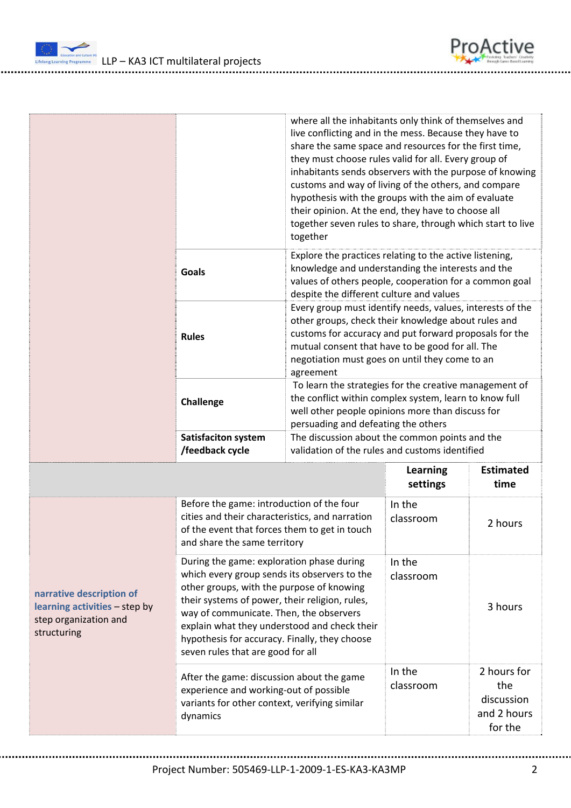

|                                                                                                   |                                                                                                                                                                                                                                                                                                                                                                           |                                                                                                                                                                                                                                                                                               | where all the inhabitants only think of themselves and<br>live conflicting and in the mess. Because they have to<br>share the same space and resources for the first time,<br>they must choose rules valid for all. Every group of<br>inhabitants sends observers with the purpose of knowing<br>customs and way of living of the others, and compare<br>hypothesis with the groups with the aim of evaluate<br>their opinion. At the end, they have to choose all<br>together seven rules to share, through which start to live |                                                            |  |
|---------------------------------------------------------------------------------------------------|---------------------------------------------------------------------------------------------------------------------------------------------------------------------------------------------------------------------------------------------------------------------------------------------------------------------------------------------------------------------------|-----------------------------------------------------------------------------------------------------------------------------------------------------------------------------------------------------------------------------------------------------------------------------------------------|----------------------------------------------------------------------------------------------------------------------------------------------------------------------------------------------------------------------------------------------------------------------------------------------------------------------------------------------------------------------------------------------------------------------------------------------------------------------------------------------------------------------------------|------------------------------------------------------------|--|
|                                                                                                   | <b>Goals</b>                                                                                                                                                                                                                                                                                                                                                              | together<br>Explore the practices relating to the active listening,<br>knowledge and understanding the interests and the<br>values of others people, cooperation for a common goal<br>despite the different culture and values                                                                |                                                                                                                                                                                                                                                                                                                                                                                                                                                                                                                                  |                                                            |  |
|                                                                                                   | <b>Rules</b>                                                                                                                                                                                                                                                                                                                                                              | Every group must identify needs, values, interests of the<br>other groups, check their knowledge about rules and<br>customs for accuracy and put forward proposals for the<br>mutual consent that have to be good for all. The<br>negotiation must goes on until they come to an<br>agreement |                                                                                                                                                                                                                                                                                                                                                                                                                                                                                                                                  |                                                            |  |
|                                                                                                   | Challenge                                                                                                                                                                                                                                                                                                                                                                 | To learn the strategies for the creative management of<br>the conflict within complex system, learn to know full<br>well other people opinions more than discuss for<br>persuading and defeating the others                                                                                   |                                                                                                                                                                                                                                                                                                                                                                                                                                                                                                                                  |                                                            |  |
|                                                                                                   | <b>Satisfaciton system</b><br>/feedback cycle                                                                                                                                                                                                                                                                                                                             | The discussion about the common points and the<br>validation of the rules and customs identified                                                                                                                                                                                              |                                                                                                                                                                                                                                                                                                                                                                                                                                                                                                                                  |                                                            |  |
|                                                                                                   |                                                                                                                                                                                                                                                                                                                                                                           | Learning<br>settings                                                                                                                                                                                                                                                                          | <b>Estimated</b><br>time                                                                                                                                                                                                                                                                                                                                                                                                                                                                                                         |                                                            |  |
| narrative description of<br>learning activities - step by<br>step organization and<br>structuring | Before the game: introduction of the four<br>cities and their characteristics, and narration<br>of the event that forces them to get in touch<br>and share the same territory                                                                                                                                                                                             |                                                                                                                                                                                                                                                                                               | In the<br>classroom                                                                                                                                                                                                                                                                                                                                                                                                                                                                                                              | 2 hours                                                    |  |
|                                                                                                   | During the game: exploration phase during<br>which every group sends its observers to the<br>other groups, with the purpose of knowing<br>their systems of power, their religion, rules,<br>way of communicate. Then, the observers<br>explain what they understood and check their<br>hypothesis for accuracy. Finally, they choose<br>seven rules that are good for all |                                                                                                                                                                                                                                                                                               | In the<br>classroom                                                                                                                                                                                                                                                                                                                                                                                                                                                                                                              | 3 hours                                                    |  |
|                                                                                                   | After the game: discussion about the game<br>experience and working-out of possible<br>variants for other context, verifying similar<br>dynamics                                                                                                                                                                                                                          |                                                                                                                                                                                                                                                                                               | In the<br>classroom                                                                                                                                                                                                                                                                                                                                                                                                                                                                                                              | 2 hours for<br>the<br>discussion<br>and 2 hours<br>for the |  |

ProActive